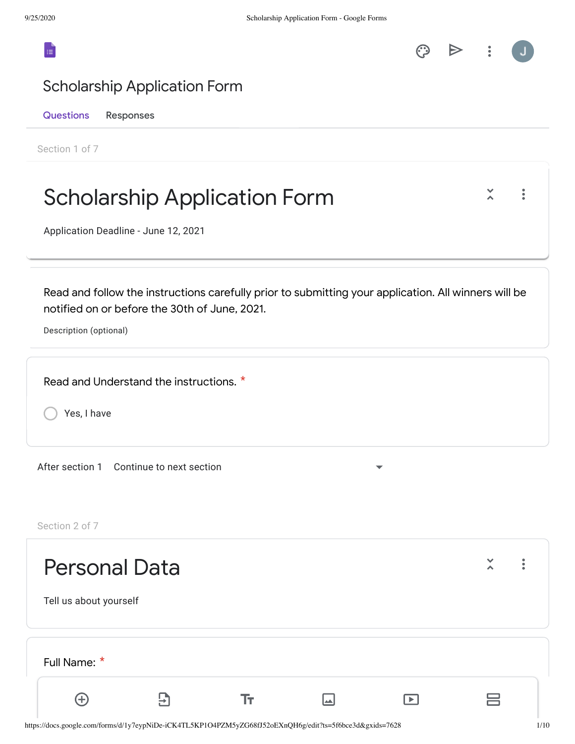



### Scholarship Application Form

Questions Responses

Section 1 of 7

\* Full Name:

 $\bigoplus$ 

| <b>Scholarship Application Form</b><br>Application Deadline - June 12, 2021                                                                                                     |  |
|---------------------------------------------------------------------------------------------------------------------------------------------------------------------------------|--|
| Read and follow the instructions carefully prior to submitting your application. All winners will be<br>notified on or before the 30th of June, 2021.<br>Description (optional) |  |
| Read and Understand the instructions. *<br>Yes, I have                                                                                                                          |  |
| After section 1 Continue to next section<br>Section 2 of 7                                                                                                                      |  |
| <b>Personal Data</b><br>Tell us about yourself                                                                                                                                  |  |

 $\blacksquare$ 

 $\boxed{\blacktriangleright}$ 

 ${\rm Tr}$ 

吕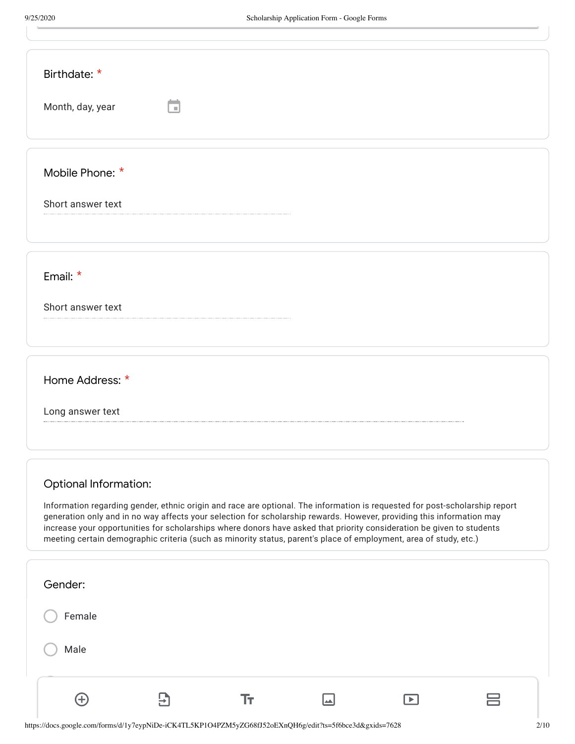| Birthdate: *<br>Month, day, year                                                                                                                                                                                                                                                                                                                                                                                                                                                                                                   |
|------------------------------------------------------------------------------------------------------------------------------------------------------------------------------------------------------------------------------------------------------------------------------------------------------------------------------------------------------------------------------------------------------------------------------------------------------------------------------------------------------------------------------------|
| Mobile Phone: *<br>Short answer text                                                                                                                                                                                                                                                                                                                                                                                                                                                                                               |
| Email: $*$<br>Short answer text                                                                                                                                                                                                                                                                                                                                                                                                                                                                                                    |
| Home Address: *<br>Long answer text                                                                                                                                                                                                                                                                                                                                                                                                                                                                                                |
| <b>Optional Information:</b><br>Information regarding gender, ethnic origin and race are optional. The information is requested for post-scholarship report<br>generation only and in no way affects your selection for scholarship rewards. However, providing this information may<br>increase your opportunities for scholarships where donors have asked that priority consideration be given to students<br>meeting certain demographic criteria (such as minority status, parent's place of employment, area of study, etc.) |
| Gender:<br>Female                                                                                                                                                                                                                                                                                                                                                                                                                                                                                                                  |

 $\rm Tr$ 

 $\blacksquare$ 

 $\boxed{\blacktriangleright}$ 

 $\overline{\Xi}$ 

Male

 $\bigoplus$ 

 $\equiv$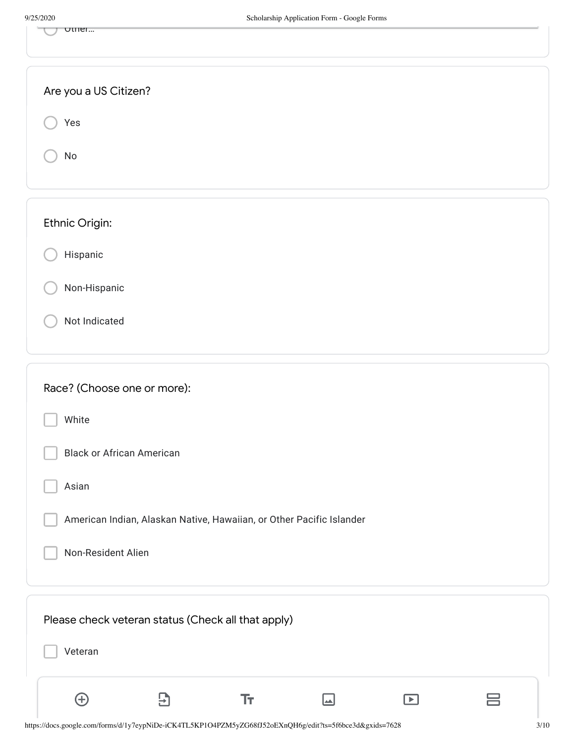| ottler                                                                               |  |
|--------------------------------------------------------------------------------------|--|
| Are you a US Citizen?                                                                |  |
| Yes                                                                                  |  |
| No                                                                                   |  |
| Ethnic Origin:                                                                       |  |
| Hispanic                                                                             |  |
| Non-Hispanic                                                                         |  |
| Not Indicated                                                                        |  |
| Race? (Choose one or more):                                                          |  |
| White                                                                                |  |
| <b>Black or African American</b>                                                     |  |
| Asian                                                                                |  |
| American Indian, Alaskan Native, Hawaiian, or Other Pacific Islander                 |  |
| Non-Resident Alien                                                                   |  |
| Please check veteran status (Check all that apply)                                   |  |
| Veteran                                                                              |  |
| $\bigoplus$<br>Tт<br>$\bm{\Xi}$<br>$\boxed{\blacktriangleright}$<br>$\blacktriangle$ |  |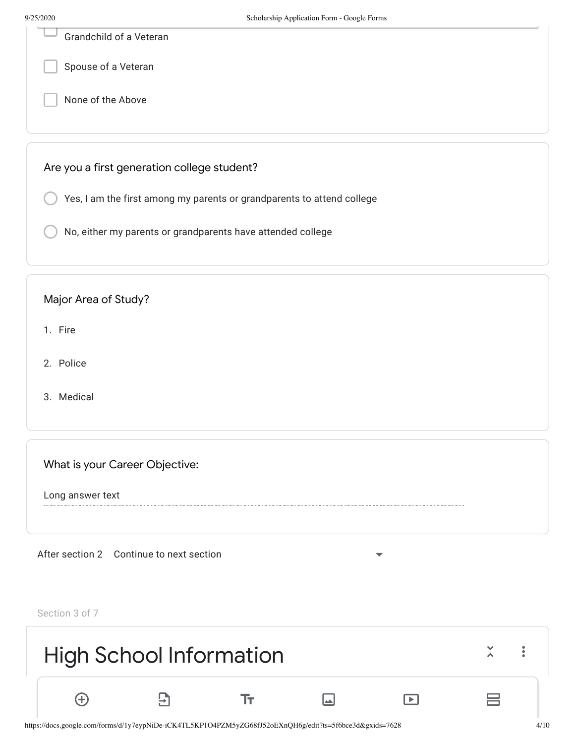| <i><del>,,</del> 23, 2</i> 020 | $\alpha$ ocnoration $\mu$ reprication $\mu$ or $\mu$ or $\alpha$ or $\alpha$ |
|--------------------------------|------------------------------------------------------------------------------|
|                                | Grandchild of a Veteran                                                      |
|                                | Spouse of a Veteran                                                          |
|                                | None of the Above                                                            |
|                                |                                                                              |
|                                | Are you a first generation college student?                                  |
|                                | Yes, I am the first among my parents or grandparents to attend college       |
|                                | No, either my parents or grandparents have attended college                  |
|                                |                                                                              |

#### Major Area of Study?

- 1. Fire
- 2. Police
- 3. Medical

What is your Career Objective:

Long answer text

After section 2 Continue to next section

Section 3 of 7

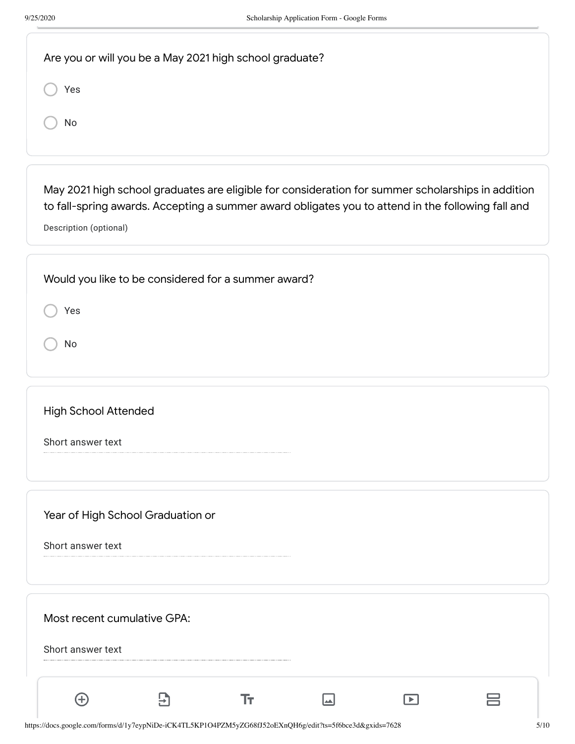| Are you or will you be a May 2021 high school graduate?                                                                                                                                                                          |
|----------------------------------------------------------------------------------------------------------------------------------------------------------------------------------------------------------------------------------|
| Yes                                                                                                                                                                                                                              |
| No                                                                                                                                                                                                                               |
|                                                                                                                                                                                                                                  |
| May 2021 high school graduates are eligible for consideration for summer scholarships in addition<br>to fall-spring awards. Accepting a summer award obligates you to attend in the following fall and<br>Description (optional) |
| Would you like to be considered for a summer award?                                                                                                                                                                              |
| Yes                                                                                                                                                                                                                              |
| No                                                                                                                                                                                                                               |
| <b>High School Attended</b>                                                                                                                                                                                                      |
| Short answer text                                                                                                                                                                                                                |
| Year of High School Graduation or                                                                                                                                                                                                |
| Short answer text                                                                                                                                                                                                                |
| Most recent cumulative GPA:                                                                                                                                                                                                      |
| Short answer text                                                                                                                                                                                                                |
| 5)<br>Ŧт,<br>$\left( +\right)$<br>⊒<br>$\blacktriangleright$ 1                                                                                                                                                                   |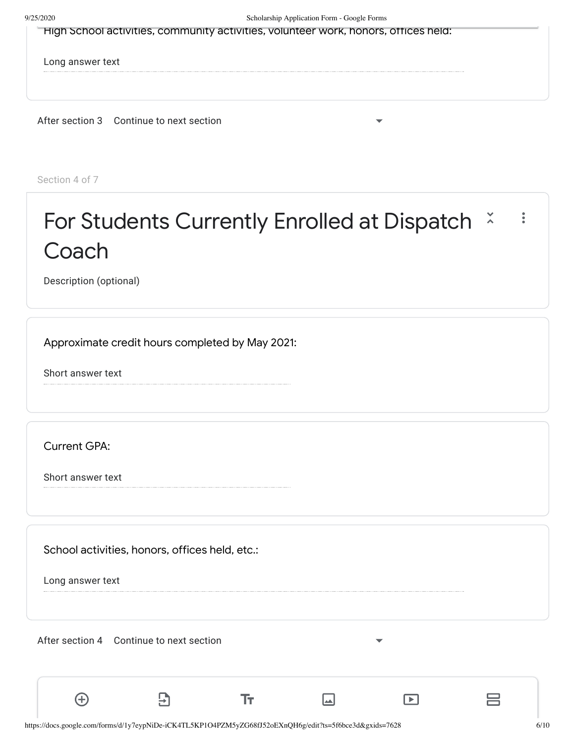| High School activities, community activities, volunteer work, honors, offices held: |  |
|-------------------------------------------------------------------------------------|--|
|                                                                                     |  |

Long answer text

After section 3 Continue to next section

Section 4 of 7

### For Students Currently Enrolled at Dispatch  $\frac{x}{x}$  $\ddot{\bullet}$ **Coach**

Description (optional)

Approximate credit hours completed by May 2021:

Short answer text

Current GPA:

Short answer text

School activities, honors, offices held, etc.:

 $\overline{E}$ 

Long answer text

 $\bigoplus$ 

After section 4 Continue to next section

Tт

 $\Box$ 

吕

 $\Box$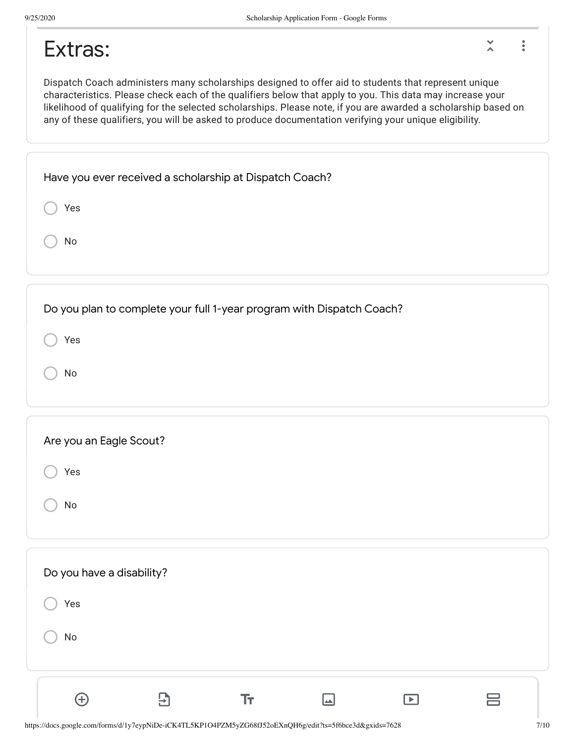$\tilde{\lambda}$ 

 $\ddot{\phantom{a}}$ 

## Extras:

Dispatch Coach administers many scholarships designed to offer aid to students that represent unique characteristics. Please check each of the qualifiers below that apply to you. This data may increase your likelihood of qualifying for the selected scholarships. Please note, if you are awarded a scholarship based on any of these qualifiers, you will be asked to produce documentation verifying your unique eligibility.

| Have you ever received a scholarship at Dispatch Coach? |  |
|---------------------------------------------------------|--|
| Yes                                                     |  |
| No                                                      |  |
|                                                         |  |

Do you plan to complete your full 1-year program with Dispatch Coach?

Yes

No

| Are you an Eagle Scout? |  |
|-------------------------|--|
| Yes                     |  |
| No                      |  |

| Do you have a disability? |                |    |    |                       |   |
|---------------------------|----------------|----|----|-----------------------|---|
| Yes                       |                |    |    |                       |   |
| No                        |                |    |    |                       |   |
|                           |                |    |    |                       |   |
| $\left( +\right)$         | $\overline{H}$ | Тт | ▎▃ | $\blacktriangleright$ | ᆖ |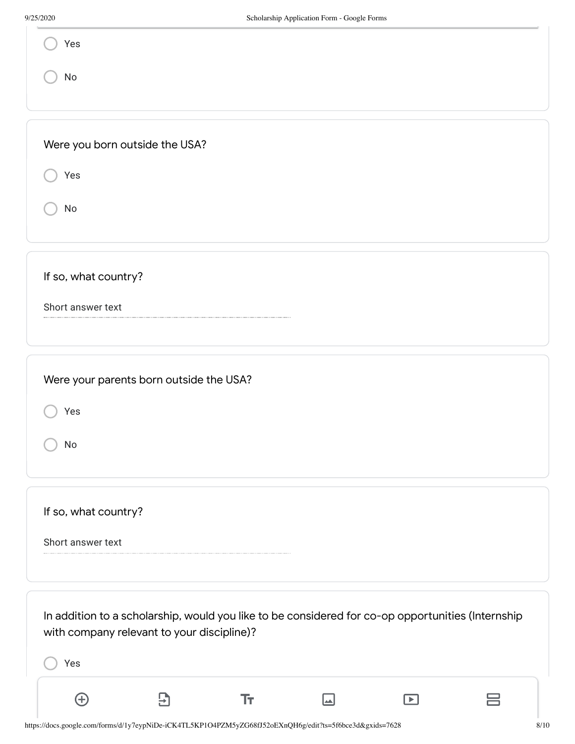| 9/25/2020                      | Scholarship Application Form - Google Forms |
|--------------------------------|---------------------------------------------|
| Yes                            |                                             |
| No                             |                                             |
|                                |                                             |
| Were you born outside the USA? |                                             |
| Yes                            |                                             |
| No                             |                                             |
|                                |                                             |
| If so, what country?           |                                             |
| Short answer text              |                                             |
|                                |                                             |
|                                | Were your parents born outside the USA?     |
| Yes                            |                                             |
| $\operatorname{\mathsf{No}}$   |                                             |
|                                |                                             |
|                                |                                             |
| If so, what country?           |                                             |
| Short answer text              |                                             |

Yes In addition to a scholarship, would you like to be considered for co-op opportunities (Internship with company relevant to your discipline)?

 $\boxed{\color{blue}\blacksquare}$ 

 ${\rm Tr}$ 

 $\overline{\mathbf{B}}$ 

 $\bigoplus$ 

吕

 $\boxed{\blacktriangleright}$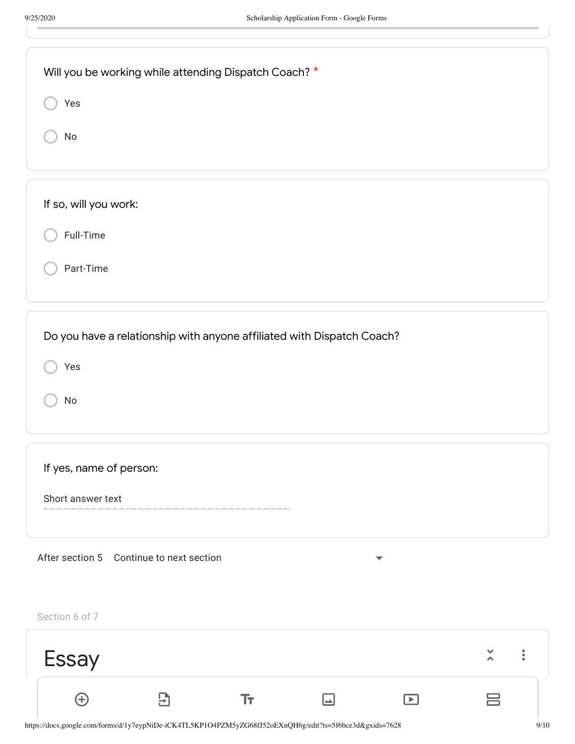| Will you be working while attending Dispatch Coach? *<br>Yes<br>No                                            |
|---------------------------------------------------------------------------------------------------------------|
| If so, will you work:<br>Full-Time<br>Part-Time                                                               |
| Do you have a relationship with anyone affiliated with Dispatch Coach?<br>Yes<br>$\operatorname{\mathsf{No}}$ |
| If yes, name of person:<br>Short answer text                                                                  |
| After section 5 Continue to next section<br>$\overline{\phantom{a}}$                                          |

Section 6 of 7